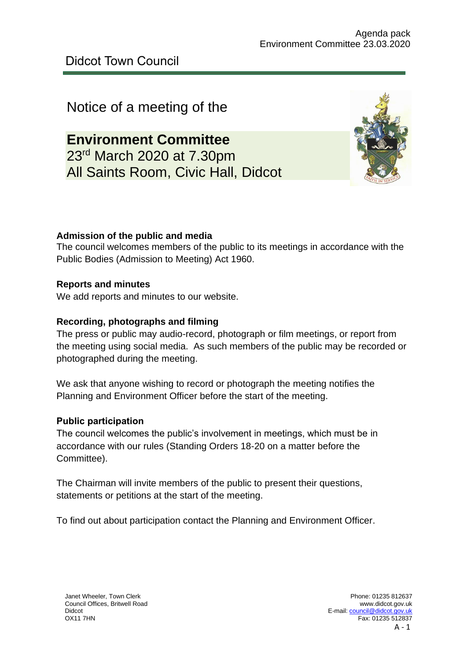# Notice of a meeting of the

**Environment Committee** 23rd March 2020 at 7.30pm All Saints Room, Civic Hall, Didcot



### **Admission of the public and media**

The council welcomes members of the public to its meetings in accordance with the Public Bodies (Admission to Meeting) Act 1960.

### **Reports and minutes**

We add reports and minutes to our website.

### **Recording, photographs and filming**

The press or public may audio-record, photograph or film meetings, or report from the meeting using social media. As such members of the public may be recorded or photographed during the meeting.

We ask that anyone wishing to record or photograph the meeting notifies the Planning and Environment Officer before the start of the meeting.

#### **Public participation**

The council welcomes the public's involvement in meetings, which must be in accordance with our rules (Standing Orders 18-20 on a matter before the Committee).

The Chairman will invite members of the public to present their questions, statements or petitions at the start of the meeting.

To find out about participation contact the Planning and Environment Officer.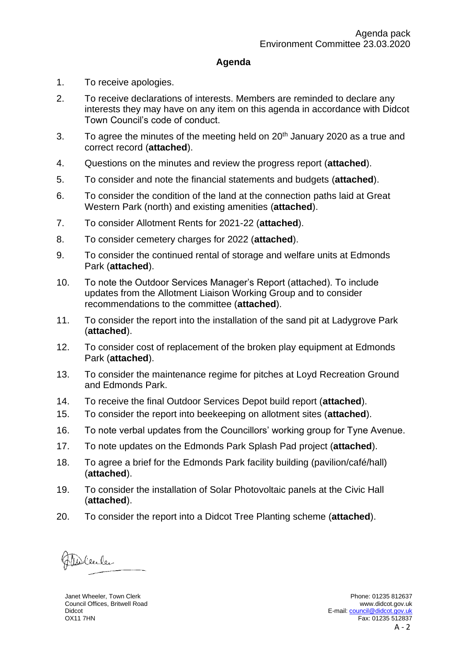#### **Agenda**

- 1. To receive apologies.
- 2. To receive declarations of interests. Members are reminded to declare any interests they may have on any item on this agenda in accordance with Didcot Town Council's code of conduct.
- 3. To agree the minutes of the meeting held on  $20<sup>th</sup>$  January 2020 as a true and correct record (**attached**).
- 4. Questions on the minutes and review the progress report (**attached**).
- 5. To consider and note the financial statements and budgets (**attached**).
- 6. To consider the condition of the land at the connection paths laid at Great Western Park (north) and existing amenities (**attached**).
- 7. To consider Allotment Rents for 2021-22 (**attached**).
- 8. To consider cemetery charges for 2022 (**attached**).
- 9. To consider the continued rental of storage and welfare units at Edmonds Park (**attached**).
- 10. To note the Outdoor Services Manager's Report (attached). To include updates from the Allotment Liaison Working Group and to consider recommendations to the committee (**attached**).
- 11. To consider the report into the installation of the sand pit at Ladygrove Park (**attached**).
- 12. To consider cost of replacement of the broken play equipment at Edmonds Park (**attached**).
- 13. To consider the maintenance regime for pitches at Loyd Recreation Ground and Edmonds Park.
- 14. To receive the final Outdoor Services Depot build report (**attached**).
- 15. To consider the report into beekeeping on allotment sites (**attached**).
- 16. To note verbal updates from the Councillors' working group for Tyne Avenue.
- 17. To note updates on the Edmonds Park Splash Pad project (**attached**).
- 18. To agree a brief for the Edmonds Park facility building (pavilion/café/hall) (**attached**).
- 19. To consider the installation of Solar Photovoltaic panels at the Civic Hall (**attached**).
- 20. To consider the report into a Didcot Tree Planting scheme (**attached**).

Molenler

Janet Wheeler, Town Clerk Council Offices, Britwell Road Didcot OX11 7HN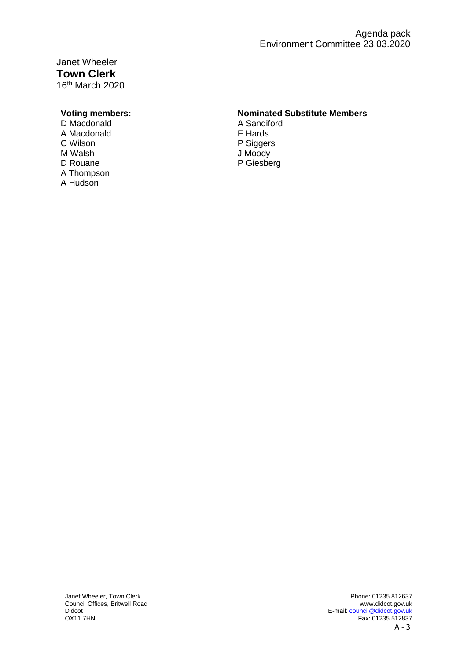Janet Wheeler **Town Clerk** 16th March 2020

D Macdonald<br>
A Sandiford<br>
A Macdonald<br>
A Macdonald<br>
C Hards A Macdonald C Wilson **P Siggers**<br>
M Walsh **M** Siggers
M Walsh D Rouane P Giesberg A Thompson A Hudson

#### **Voting members: Nominated Substitute Members**

J Moody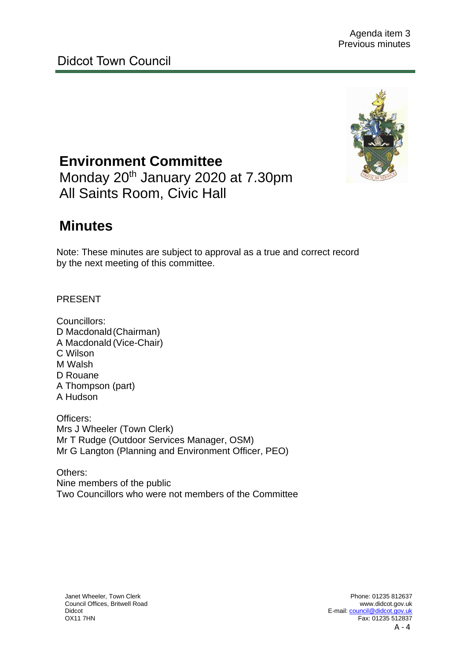

**Environment Committee** Monday 20<sup>th</sup> January 2020 at 7.30pm All Saints Room, Civic Hall

# **Minutes**

Note: These minutes are subject to approval as a true and correct record by the next meeting of this committee.

PRESENT

Councillors: D Macdonald(Chairman) A Macdonald (Vice-Chair) C Wilson M Walsh D Rouane A Thompson (part) A Hudson

Officers: Mrs J Wheeler (Town Clerk) Mr T Rudge (Outdoor Services Manager, OSM) Mr G Langton (Planning and Environment Officer, PEO)

Others: Nine members of the public Two Councillors who were not members of the Committee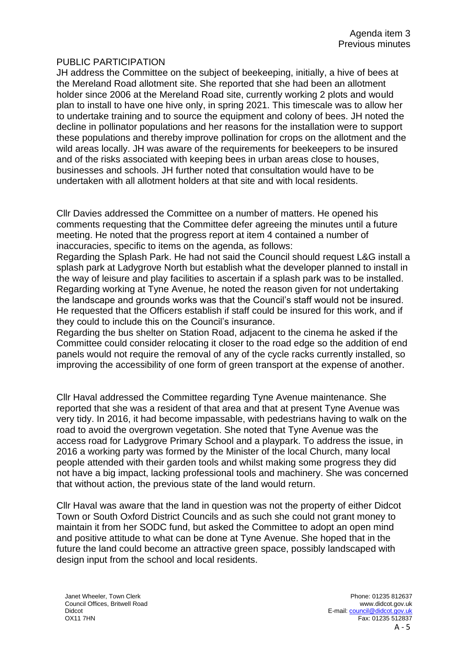#### PUBLIC PARTICIPATION

JH address the Committee on the subject of beekeeping, initially, a hive of bees at the Mereland Road allotment site. She reported that she had been an allotment holder since 2006 at the Mereland Road site, currently working 2 plots and would plan to install to have one hive only, in spring 2021. This timescale was to allow her to undertake training and to source the equipment and colony of bees. JH noted the decline in pollinator populations and her reasons for the installation were to support these populations and thereby improve pollination for crops on the allotment and the wild areas locally. JH was aware of the requirements for beekeepers to be insured and of the risks associated with keeping bees in urban areas close to houses, businesses and schools. JH further noted that consultation would have to be undertaken with all allotment holders at that site and with local residents.

Cllr Davies addressed the Committee on a number of matters. He opened his comments requesting that the Committee defer agreeing the minutes until a future meeting. He noted that the progress report at item 4 contained a number of inaccuracies, specific to items on the agenda, as follows:

Regarding the Splash Park. He had not said the Council should request L&G install a splash park at Ladygrove North but establish what the developer planned to install in the way of leisure and play facilities to ascertain if a splash park was to be installed. Regarding working at Tyne Avenue, he noted the reason given for not undertaking the landscape and grounds works was that the Council's staff would not be insured. He requested that the Officers establish if staff could be insured for this work, and if they could to include this on the Council's insurance.

Regarding the bus shelter on Station Road, adjacent to the cinema he asked if the Committee could consider relocating it closer to the road edge so the addition of end panels would not require the removal of any of the cycle racks currently installed, so improving the accessibility of one form of green transport at the expense of another.

Cllr Haval addressed the Committee regarding Tyne Avenue maintenance. She reported that she was a resident of that area and that at present Tyne Avenue was very tidy. In 2016, it had become impassable, with pedestrians having to walk on the road to avoid the overgrown vegetation. She noted that Tyne Avenue was the access road for Ladygrove Primary School and a playpark. To address the issue, in 2016 a working party was formed by the Minister of the local Church, many local people attended with their garden tools and whilst making some progress they did not have a big impact, lacking professional tools and machinery. She was concerned that without action, the previous state of the land would return.

Cllr Haval was aware that the land in question was not the property of either Didcot Town or South Oxford District Councils and as such she could not grant money to maintain it from her SODC fund, but asked the Committee to adopt an open mind and positive attitude to what can be done at Tyne Avenue. She hoped that in the future the land could become an attractive green space, possibly landscaped with design input from the school and local residents.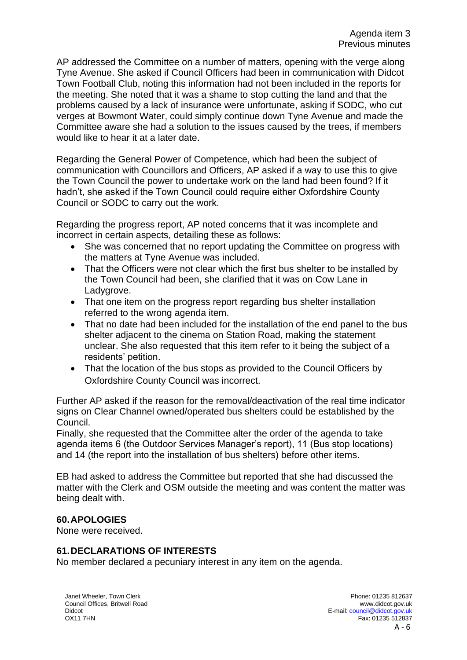AP addressed the Committee on a number of matters, opening with the verge along Tyne Avenue. She asked if Council Officers had been in communication with Didcot Town Football Club, noting this information had not been included in the reports for the meeting. She noted that it was a shame to stop cutting the land and that the problems caused by a lack of insurance were unfortunate, asking if SODC, who cut verges at Bowmont Water, could simply continue down Tyne Avenue and made the Committee aware she had a solution to the issues caused by the trees, if members would like to hear it at a later date.

Regarding the General Power of Competence, which had been the subject of communication with Councillors and Officers, AP asked if a way to use this to give the Town Council the power to undertake work on the land had been found? If it hadn't, she asked if the Town Council could require either Oxfordshire County Council or SODC to carry out the work.

Regarding the progress report, AP noted concerns that it was incomplete and incorrect in certain aspects, detailing these as follows:

- She was concerned that no report updating the Committee on progress with the matters at Tyne Avenue was included.
- That the Officers were not clear which the first bus shelter to be installed by the Town Council had been, she clarified that it was on Cow Lane in Ladygrove.
- That one item on the progress report regarding bus shelter installation referred to the wrong agenda item.
- That no date had been included for the installation of the end panel to the bus shelter adjacent to the cinema on Station Road, making the statement unclear. She also requested that this item refer to it being the subject of a residents' petition.
- That the location of the bus stops as provided to the Council Officers by Oxfordshire County Council was incorrect.

Further AP asked if the reason for the removal/deactivation of the real time indicator signs on Clear Channel owned/operated bus shelters could be established by the Council.

Finally, she requested that the Committee alter the order of the agenda to take agenda items 6 (the Outdoor Services Manager's report), 11 (Bus stop locations) and 14 (the report into the installation of bus shelters) before other items.

EB had asked to address the Committee but reported that she had discussed the matter with the Clerk and OSM outside the meeting and was content the matter was being dealt with.

#### **60.APOLOGIES**

None were received.

#### **61.DECLARATIONS OF INTERESTS**

No member declared a pecuniary interest in any item on the agenda.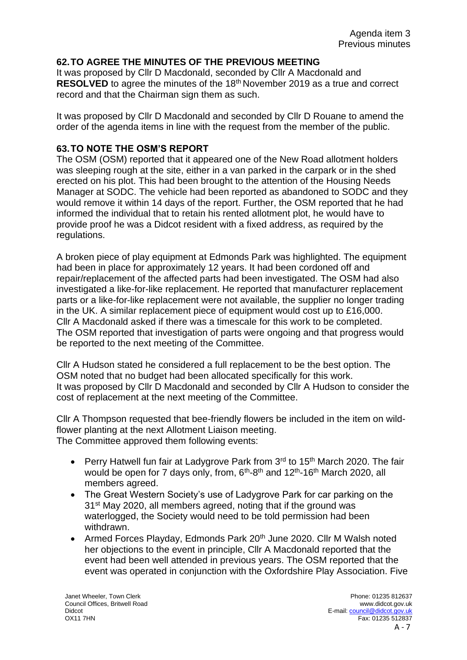#### **62.TO AGREE THE MINUTES OF THE PREVIOUS MEETING**

It was proposed by Cllr D Macdonald, seconded by Cllr A Macdonald and **RESOLVED** to agree the minutes of the 18<sup>th</sup> November 2019 as a true and correct record and that the Chairman sign them as such.

It was proposed by Cllr D Macdonald and seconded by Cllr D Rouane to amend the order of the agenda items in line with the request from the member of the public.

#### **63.TO NOTE THE OSM'S REPORT**

The OSM (OSM) reported that it appeared one of the New Road allotment holders was sleeping rough at the site, either in a van parked in the carpark or in the shed erected on his plot. This had been brought to the attention of the Housing Needs Manager at SODC. The vehicle had been reported as abandoned to SODC and they would remove it within 14 days of the report. Further, the OSM reported that he had informed the individual that to retain his rented allotment plot, he would have to provide proof he was a Didcot resident with a fixed address, as required by the regulations.

A broken piece of play equipment at Edmonds Park was highlighted. The equipment had been in place for approximately 12 years. It had been cordoned off and repair/replacement of the affected parts had been investigated. The OSM had also investigated a like-for-like replacement. He reported that manufacturer replacement parts or a like-for-like replacement were not available, the supplier no longer trading in the UK. A similar replacement piece of equipment would cost up to £16,000. Cllr A Macdonald asked if there was a timescale for this work to be completed. The OSM reported that investigation of parts were ongoing and that progress would be reported to the next meeting of the Committee.

Cllr A Hudson stated he considered a full replacement to be the best option. The OSM noted that no budget had been allocated specifically for this work. It was proposed by Cllr D Macdonald and seconded by Cllr A Hudson to consider the cost of replacement at the next meeting of the Committee.

Cllr A Thompson requested that bee-friendly flowers be included in the item on wildflower planting at the next Allotment Liaison meeting. The Committee approved them following events:

- Perry Hatwell fun fair at Ladygrove Park from  $3<sup>rd</sup>$  to 15<sup>th</sup> March 2020. The fair would be open for 7 days only, from, 6<sup>th</sup>-8<sup>th</sup> and 12<sup>th</sup>-16<sup>th</sup> March 2020, all members agreed.
- The Great Western Society's use of Ladygrove Park for car parking on the 31st May 2020, all members agreed, noting that if the ground was waterlogged, the Society would need to be told permission had been withdrawn.
- Armed Forces Playday, Edmonds Park 20<sup>th</sup> June 2020. Cllr M Walsh noted her objections to the event in principle, Cllr A Macdonald reported that the event had been well attended in previous years. The OSM reported that the event was operated in conjunction with the Oxfordshire Play Association. Five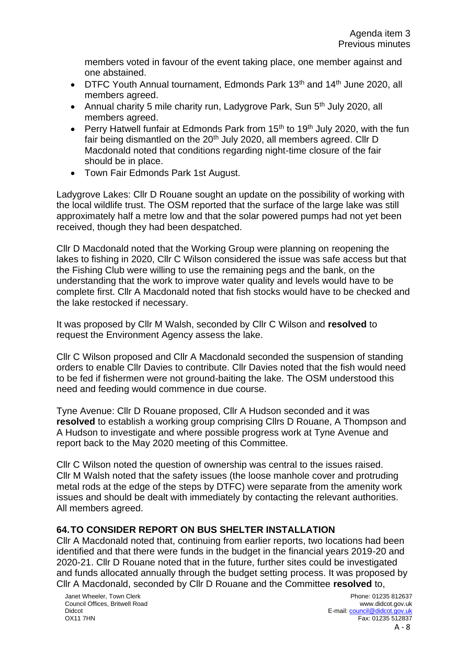members voted in favour of the event taking place, one member against and one abstained.

- DTFC Youth Annual tournament, Edmonds Park 13<sup>th</sup> and 14<sup>th</sup> June 2020, all members agreed.
- Annual charity 5 mile charity run, Ladygrove Park, Sun 5<sup>th</sup> July 2020, all members agreed.
- Perry Hatwell funfair at Edmonds Park from 15<sup>th</sup> to 19<sup>th</sup> July 2020, with the fun fair being dismantled on the 20<sup>th</sup> July 2020, all members agreed. Cllr D Macdonald noted that conditions regarding night-time closure of the fair should be in place.
- Town Fair Edmonds Park 1st August.

Ladygrove Lakes: Cllr D Rouane sought an update on the possibility of working with the local wildlife trust. The OSM reported that the surface of the large lake was still approximately half a metre low and that the solar powered pumps had not yet been received, though they had been despatched.

Cllr D Macdonald noted that the Working Group were planning on reopening the lakes to fishing in 2020, Cllr C Wilson considered the issue was safe access but that the Fishing Club were willing to use the remaining pegs and the bank, on the understanding that the work to improve water quality and levels would have to be complete first. Cllr A Macdonald noted that fish stocks would have to be checked and the lake restocked if necessary.

It was proposed by Cllr M Walsh, seconded by Cllr C Wilson and **resolved** to request the Environment Agency assess the lake.

Cllr C Wilson proposed and Cllr A Macdonald seconded the suspension of standing orders to enable Cllr Davies to contribute. Cllr Davies noted that the fish would need to be fed if fishermen were not ground-baiting the lake. The OSM understood this need and feeding would commence in due course.

Tyne Avenue: Cllr D Rouane proposed, Cllr A Hudson seconded and it was **resolved** to establish a working group comprising Cllrs D Rouane, A Thompson and A Hudson to investigate and where possible progress work at Tyne Avenue and report back to the May 2020 meeting of this Committee.

Cllr C Wilson noted the question of ownership was central to the issues raised. Cllr M Walsh noted that the safety issues (the loose manhole cover and protruding metal rods at the edge of the steps by DTFC) were separate from the amenity work issues and should be dealt with immediately by contacting the relevant authorities. All members agreed.

#### **64.TO CONSIDER REPORT ON BUS SHELTER INSTALLATION**

Cllr A Macdonald noted that, continuing from earlier reports, two locations had been identified and that there were funds in the budget in the financial years 2019-20 and 2020-21. Cllr D Rouane noted that in the future, further sites could be investigated and funds allocated annually through the budget setting process. It was proposed by Cllr A Macdonald, seconded by Cllr D Rouane and the Committee **resolved** to,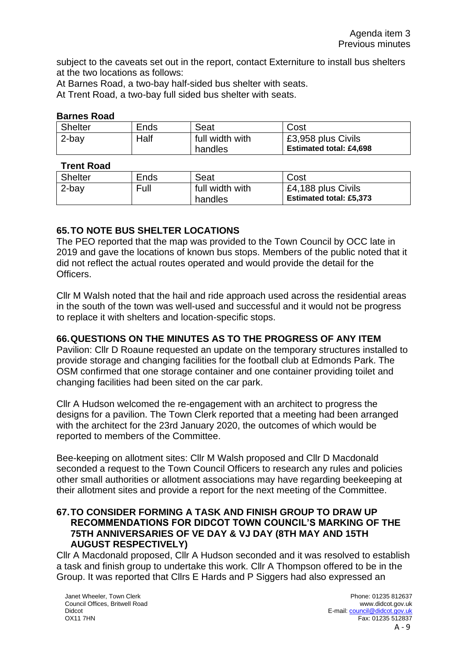subject to the caveats set out in the report, contact Externiture to install bus shelters at the two locations as follows:

At Barnes Road, a two-bay half-sided bus shelter with seats.

At Trent Road, a two-bay full sided bus shelter with seats.

#### **Barnes Road**

| <b>Shelter</b> | Ends | Seat            | Cost                           |
|----------------|------|-----------------|--------------------------------|
| 2-bay          | Half | full width with | £3,958 plus Civils             |
|                |      | handles         | <b>Estimated total: £4,698</b> |

#### **Trent Road**

| <b>Shelter</b> | Ends | Seat                       | Cost                                                 |
|----------------|------|----------------------------|------------------------------------------------------|
| 2-bay          | Full | full width with<br>handles | £4,188 plus Civils<br><b>Estimated total: £5,373</b> |

#### **65.TO NOTE BUS SHELTER LOCATIONS**

The PEO reported that the map was provided to the Town Council by OCC late in 2019 and gave the locations of known bus stops. Members of the public noted that it did not reflect the actual routes operated and would provide the detail for the Officers.

Cllr M Walsh noted that the hail and ride approach used across the residential areas in the south of the town was well-used and successful and it would not be progress to replace it with shelters and location-specific stops.

#### **66.QUESTIONS ON THE MINUTES AS TO THE PROGRESS OF ANY ITEM**

Pavilion: Cllr D Roaune requested an update on the temporary structures installed to provide storage and changing facilities for the football club at Edmonds Park. The OSM confirmed that one storage container and one container providing toilet and changing facilities had been sited on the car park.

Cllr A Hudson welcomed the re-engagement with an architect to progress the designs for a pavilion. The Town Clerk reported that a meeting had been arranged with the architect for the 23rd January 2020, the outcomes of which would be reported to members of the Committee.

Bee-keeping on allotment sites: Cllr M Walsh proposed and Cllr D Macdonald seconded a request to the Town Council Officers to research any rules and policies other small authorities or allotment associations may have regarding beekeeping at their allotment sites and provide a report for the next meeting of the Committee.

#### **67.TO CONSIDER FORMING A TASK AND FINISH GROUP TO DRAW UP RECOMMENDATIONS FOR DIDCOT TOWN COUNCIL'S MARKING OF THE 75TH ANNIVERSARIES OF VE DAY & VJ DAY (8TH MAY AND 15TH AUGUST RESPECTIVELY)**

Cllr A Macdonald proposed, Cllr A Hudson seconded and it was resolved to establish a task and finish group to undertake this work. Cllr A Thompson offered to be in the Group. It was reported that Cllrs E Hards and P Siggers had also expressed an

Janet Wheeler, Town Clerk Council Offices, Britwell Road Didcot OX11 7HN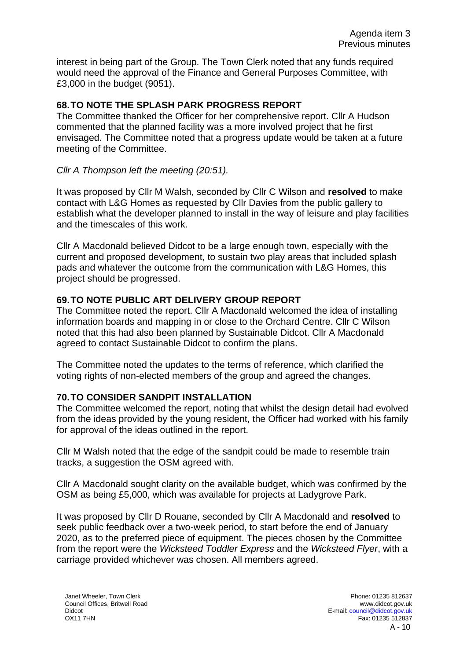interest in being part of the Group. The Town Clerk noted that any funds required would need the approval of the Finance and General Purposes Committee, with £3,000 in the budget (9051).

#### **68.TO NOTE THE SPLASH PARK PROGRESS REPORT**

The Committee thanked the Officer for her comprehensive report. Cllr A Hudson commented that the planned facility was a more involved project that he first envisaged. The Committee noted that a progress update would be taken at a future meeting of the Committee.

#### *Cllr A Thompson left the meeting (20:51).*

It was proposed by Cllr M Walsh, seconded by Cllr C Wilson and **resolved** to make contact with L&G Homes as requested by Cllr Davies from the public gallery to establish what the developer planned to install in the way of leisure and play facilities and the timescales of this work.

Cllr A Macdonald believed Didcot to be a large enough town, especially with the current and proposed development, to sustain two play areas that included splash pads and whatever the outcome from the communication with L&G Homes, this project should be progressed.

#### **69.TO NOTE PUBLIC ART DELIVERY GROUP REPORT**

The Committee noted the report. Cllr A Macdonald welcomed the idea of installing information boards and mapping in or close to the Orchard Centre. Cllr C Wilson noted that this had also been planned by Sustainable Didcot. Cllr A Macdonald agreed to contact Sustainable Didcot to confirm the plans.

The Committee noted the updates to the terms of reference, which clarified the voting rights of non-elected members of the group and agreed the changes.

#### **70.TO CONSIDER SANDPIT INSTALLATION**

The Committee welcomed the report, noting that whilst the design detail had evolved from the ideas provided by the young resident, the Officer had worked with his family for approval of the ideas outlined in the report.

Cllr M Walsh noted that the edge of the sandpit could be made to resemble train tracks, a suggestion the OSM agreed with.

Cllr A Macdonald sought clarity on the available budget, which was confirmed by the OSM as being £5,000, which was available for projects at Ladygrove Park.

It was proposed by Cllr D Rouane, seconded by Cllr A Macdonald and **resolved** to seek public feedback over a two-week period, to start before the end of January 2020, as to the preferred piece of equipment. The pieces chosen by the Committee from the report were the *Wicksteed Toddler Express* and the *Wicksteed Flyer*, with a carriage provided whichever was chosen. All members agreed.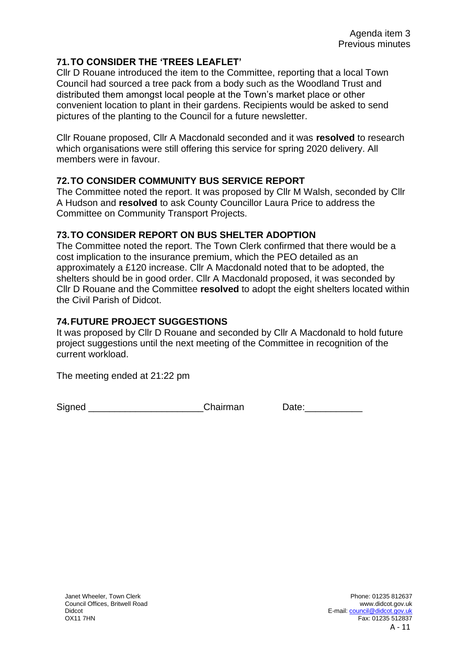#### **71.TO CONSIDER THE 'TREES LEAFLET'**

Cllr D Rouane introduced the item to the Committee, reporting that a local Town Council had sourced a tree pack from a body such as the Woodland Trust and distributed them amongst local people at the Town's market place or other convenient location to plant in their gardens. Recipients would be asked to send pictures of the planting to the Council for a future newsletter.

Cllr Rouane proposed, Cllr A Macdonald seconded and it was **resolved** to research which organisations were still offering this service for spring 2020 delivery. All members were in favour.

#### **72.TO CONSIDER COMMUNITY BUS SERVICE REPORT**

The Committee noted the report. It was proposed by Cllr M Walsh, seconded by Cllr A Hudson and **resolved** to ask County Councillor Laura Price to address the Committee on Community Transport Projects.

#### **73.TO CONSIDER REPORT ON BUS SHELTER ADOPTION**

The Committee noted the report. The Town Clerk confirmed that there would be a cost implication to the insurance premium, which the PEO detailed as an approximately a £120 increase. Cllr A Macdonald noted that to be adopted, the shelters should be in good order. Cllr A Macdonald proposed, it was seconded by Cllr D Rouane and the Committee **resolved** to adopt the eight shelters located within the Civil Parish of Didcot.

#### **74.FUTURE PROJECT SUGGESTIONS**

It was proposed by Cllr D Rouane and seconded by Cllr A Macdonald to hold future project suggestions until the next meeting of the Committee in recognition of the current workload.

The meeting ended at 21:22 pm

Signed **Chairman** Date: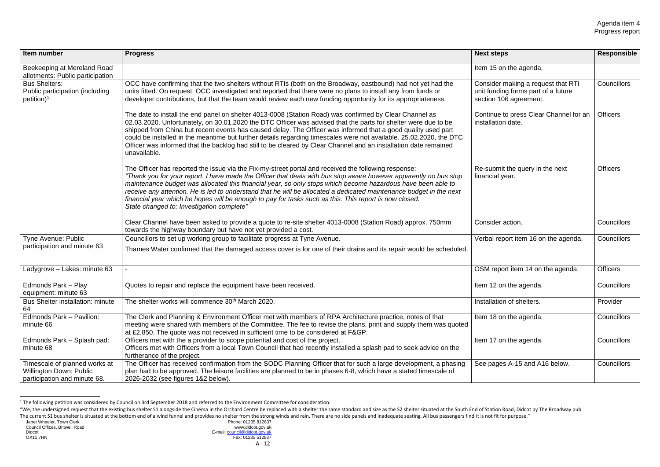| Item number                                                                                     | <b>Progress</b>                                                                                                                                                                                                                                                                                                                                                                                                                                                                                                                                                                                                         | <b>Next steps</b>                                                                                   | <b>Responsible</b> |
|-------------------------------------------------------------------------------------------------|-------------------------------------------------------------------------------------------------------------------------------------------------------------------------------------------------------------------------------------------------------------------------------------------------------------------------------------------------------------------------------------------------------------------------------------------------------------------------------------------------------------------------------------------------------------------------------------------------------------------------|-----------------------------------------------------------------------------------------------------|--------------------|
| Beekeeping at Mereland Road<br>allotments: Public participation                                 |                                                                                                                                                                                                                                                                                                                                                                                                                                                                                                                                                                                                                         | Item 15 on the agenda.                                                                              |                    |
| <b>Bus Shelters:</b><br>Public participation (including<br>$petition$ <sup>1</sup>              | OCC have confirming that the two shelters without RTIs (both on the Broadway, eastbound) had not yet had the<br>units fitted. On request, OCC investigated and reported that there were no plans to install any from funds or<br>developer contributions, but that the team would review each new funding opportunity for its appropriateness.                                                                                                                                                                                                                                                                          | Consider making a request that RTI<br>unit funding forms part of a future<br>section 106 agreement. | Councillors        |
|                                                                                                 | The date to install the end panel on shelter 4013-0008 (Station Road) was confirmed by Clear Channel as<br>02.03.2020. Unfortunately, on 30.01.2020 the DTC Officer was advised that the parts for shelter were due to be<br>shipped from China but recent events has caused delay. The Officer was informed that a good quality used part<br>could be installed in the meantime but further details regarding timescales were not available. 25.02.2020, the DTC<br>Officer was informed that the backlog had still to be cleared by Clear Channel and an installation date remained<br>unavailable.                   | Continue to press Clear Channel for an<br>installation date.                                        | <b>Officers</b>    |
|                                                                                                 | The Officer has reported the issue via the Fix-my-street portal and received the following response:<br>"Thank you for your report. I have made the Officer that deals with bus stop aware however apparently no bus stop<br>maintenance budget was allocated this financial year, so only stops which become hazardous have been able to<br>receive any attention. He is led to understand that he will be allocated a dedicated maintenance budget in the next<br>financial year which he hopes will be enough to pay for tasks such as this. This report is now closed.<br>State changed to: Investigation complete" | Re-submit the query in the next<br>financial year.                                                  | <b>Officers</b>    |
|                                                                                                 | Clear Channel have been asked to provide a quote to re-site shelter 4013-0008 (Station Road) approx. 750mm<br>towards the highway boundary but have not yet provided a cost.                                                                                                                                                                                                                                                                                                                                                                                                                                            | Consider action.                                                                                    | Councillors        |
| Tyne Avenue: Public<br>participation and minute 63                                              | Councillors to set up working group to facilitate progress at Tyne Avenue.<br>Thames Water confirmed that the damaged access cover is for one of their drains and its repair would be scheduled.                                                                                                                                                                                                                                                                                                                                                                                                                        | Verbal report item 16 on the agenda.                                                                | Councillors        |
| Ladygrove - Lakes: minute 63                                                                    |                                                                                                                                                                                                                                                                                                                                                                                                                                                                                                                                                                                                                         | OSM report item 14 on the agenda.                                                                   | <b>Officers</b>    |
| <b>Edmonds Park - Play</b><br>equipment: minute 63                                              | Quotes to repair and replace the equipment have been received.                                                                                                                                                                                                                                                                                                                                                                                                                                                                                                                                                          | Item 12 on the agenda.                                                                              | Councillors        |
| <b>Bus Shelter installation: minute</b><br>64                                                   | The shelter works will commence 30 <sup>th</sup> March 2020.                                                                                                                                                                                                                                                                                                                                                                                                                                                                                                                                                            | Installation of shelters.                                                                           | Provider           |
| Edmonds Park - Pavilion:<br>minute 66                                                           | The Clerk and Planning & Environment Officer met with members of RPA Architecture practice, notes of that<br>meeting were shared with members of the Committee. The fee to revise the plans, print and supply them was quoted<br>at £2,850. The quote was not received in sufficient time to be considered at F&GP.                                                                                                                                                                                                                                                                                                     | Item 18 on the agenda.                                                                              | Councillors        |
| Edmonds Park - Splash pad:<br>minute 68                                                         | Officers met with the a provider to scope potential and cost of the project.<br>Officers met with Officers from a local Town Council that had recently installed a splash pad to seek advice on the<br>furtherance of the project.                                                                                                                                                                                                                                                                                                                                                                                      | Item 17 on the agenda.                                                                              | Councillors        |
| Timescale of planned works at<br><b>Willington Down: Public</b><br>participation and minute 68. | The Officer has received confirmation from the SODC Planning Officer that for such a large development, a phasing<br>plan had to be approved. The leisure facilities are planned to be in phases 6-8, which have a stated timescale of<br>2026-2032 (see figures 1&2 below).                                                                                                                                                                                                                                                                                                                                            | See pages A-15 and A16 below.                                                                       | Councillors        |

<sup>&</sup>lt;sup>1</sup> The following petition was considered by Council on 3rd September 2018 and referred to the Environment Committee for consideration:

<sup>&</sup>quot;We, the undersigned request that the existing bus shelter S1 alongside the Cinema in the Orchard Centre be replaced with a shelter the same standard and size as the S2 shelter situated at the South End of Station Road, Di The current S1 bus shelter is situated at the bottom end of a wind funnel and provides no shelter from the strong winds and rain. There are no side panels and inadequate seating. All bus passengers find it is not fit for p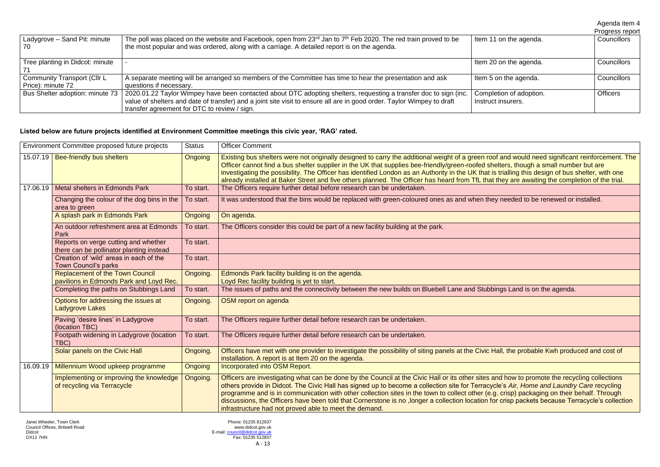#### and would need significant reinforcement. The Iters, though a small number but are trialling this design of bus shelter, with one hey are awaiting the completion of the trial.

d how to promote the recycling collections crisp packets because Terracycle's collection

|                                                         |                                                                                                                                                                                                                                                                                             |                                               | Agenda item 4<br>Progress report |
|---------------------------------------------------------|---------------------------------------------------------------------------------------------------------------------------------------------------------------------------------------------------------------------------------------------------------------------------------------------|-----------------------------------------------|----------------------------------|
| Ladygrove - Sand Pit: minute<br>-70                     | The poll was placed on the website and Facebook, open from 23 <sup>rd</sup> Jan to 7 <sup>th</sup> Feb 2020. The red train proved to be<br>the most popular and was ordered, along with a carriage. A detailed report is on the agenda.                                                     | Item 11 on the agenda.                        | Councillors                      |
| Tree planting in Didcot: minute                         |                                                                                                                                                                                                                                                                                             | Item 20 on the agenda.                        | <b>Councillors</b>               |
| <b>Community Transport (Cllr L</b><br>Price): minute 72 | A separate meeting will be arranged so members of the Committee has time to hear the presentation and ask<br>questions if necessary.                                                                                                                                                        | Item 5 on the agenda.                         | Councillors                      |
| Bus Shelter adoption: minute 73                         | 2020.01.22 Taylor Wimpey have been contacted about DTC adopting shelters, requesting a transfer doc to sign (inc.<br>value of shelters and date of transfer) and a joint site visit to ensure all are in good order. Taylor Wimpey to draft<br>transfer agreement for DTC to review / sign. | Completion of adoption.<br>Instruct insurers. | <b>Officers</b>                  |

#### **Listed below are future projects identified at Environment Committee meetings this civic year, 'RAG' rated.**

| Environment Committee proposed future projects |                                                                                   | <b>Status</b>  | <b>Officer Comment</b>                                                                                                                                                                                                                                                                                                                                                                                                                                                                                                                                                                                                                              |
|------------------------------------------------|-----------------------------------------------------------------------------------|----------------|-----------------------------------------------------------------------------------------------------------------------------------------------------------------------------------------------------------------------------------------------------------------------------------------------------------------------------------------------------------------------------------------------------------------------------------------------------------------------------------------------------------------------------------------------------------------------------------------------------------------------------------------------------|
|                                                | 15.07.19   Bee-friendly bus shelters                                              | Ongoing        | Existing bus shelters were not originally designed to carry the additional weight of a green roof and would need significant reinforcement.<br>Officer cannot find a bus shelter supplier in the UK that supplies bee-friendly/green-roofed shelters, though a small number but are<br>investigating the possibility. The Officer has identified London as an Authority in the UK that is trialling this design of bus shelter, with one<br>already installed at Baker Street and five others planned. The Officer has heard from TfL that they are awaiting the completion of the trial                                                            |
|                                                | 17.06.19 Metal shelters in Edmonds Park                                           | To start.      | The Officers require further detail before research can be undertaken.                                                                                                                                                                                                                                                                                                                                                                                                                                                                                                                                                                              |
|                                                | Changing the colour of the dog bins in the<br>area to green                       | To start.      | It was understood that the bins would be replaced with green-coloured ones as and when they needed to be renewed or installed.                                                                                                                                                                                                                                                                                                                                                                                                                                                                                                                      |
|                                                | A splash park in Edmonds Park                                                     | <b>Ongoing</b> | On agenda.                                                                                                                                                                                                                                                                                                                                                                                                                                                                                                                                                                                                                                          |
|                                                | An outdoor refreshment area at Edmonds<br>Park                                    | To start.      | The Officers consider this could be part of a new facility building at the park.                                                                                                                                                                                                                                                                                                                                                                                                                                                                                                                                                                    |
|                                                | Reports on verge cutting and whether<br>there can be pollinator planting instead  | To start.      |                                                                                                                                                                                                                                                                                                                                                                                                                                                                                                                                                                                                                                                     |
|                                                | Creation of 'wild' areas in each of the<br><b>Town Council's parks</b>            | To start.      |                                                                                                                                                                                                                                                                                                                                                                                                                                                                                                                                                                                                                                                     |
|                                                | <b>Replacement of the Town Council</b><br>pavilions in Edmonds Park and Loyd Rec. | Ongoing.       | Edmonds Park facility building is on the agenda.<br>Loyd Rec facility building is yet to start.                                                                                                                                                                                                                                                                                                                                                                                                                                                                                                                                                     |
|                                                | Completing the paths on Stubbings Land                                            | To start.      | The issues of paths and the connectivity between the new builds on Bluebell Lane and Stubbings Land is on the agenda.                                                                                                                                                                                                                                                                                                                                                                                                                                                                                                                               |
|                                                | Options for addressing the issues at<br><b>Ladygrove Lakes</b>                    | Ongoing.       | OSM report on agenda                                                                                                                                                                                                                                                                                                                                                                                                                                                                                                                                                                                                                                |
|                                                | Paving 'desire lines' in Ladygrove<br>(location TBC)                              | To start.      | The Officers require further detail before research can be undertaken.                                                                                                                                                                                                                                                                                                                                                                                                                                                                                                                                                                              |
|                                                | Footpath widening in Ladygrove (location<br>TBC)                                  | To start.      | The Officers require further detail before research can be undertaken.                                                                                                                                                                                                                                                                                                                                                                                                                                                                                                                                                                              |
|                                                | Solar panels on the Civic Hall                                                    | Ongoing.       | Officers have met with one provider to investigate the possibility of siting panels at the Civic Hall, the probable Kwh produced and cost of<br>installation. A report is at Item 20 on the agenda.                                                                                                                                                                                                                                                                                                                                                                                                                                                 |
|                                                | 16.09.19   Millennium Wood upkeep programme                                       | <b>Ongoing</b> | <b>Incorporated into OSM Report.</b>                                                                                                                                                                                                                                                                                                                                                                                                                                                                                                                                                                                                                |
|                                                | Implementing or improving the knowledge<br>of recycling via Terracycle            | Ongoing.       | Officers are investigating what can be done by the Council at the Civic Hall or its other sites and how to promote the recycling collections<br>others provide in Didcot. The Civic Hall has signed up to become a collection site for Terracycle's Air, Home and Laundry Care recycling<br>programme and is in communication with other collection sites in the town to collect other (e.g. crisp) packaging on their behalf. Through<br>discussions, the Officers have been told that Cornerstone is no ,longer a collection location for crisp packets because Terracycle's collection<br>infrastructure had not proved able to meet the demand. |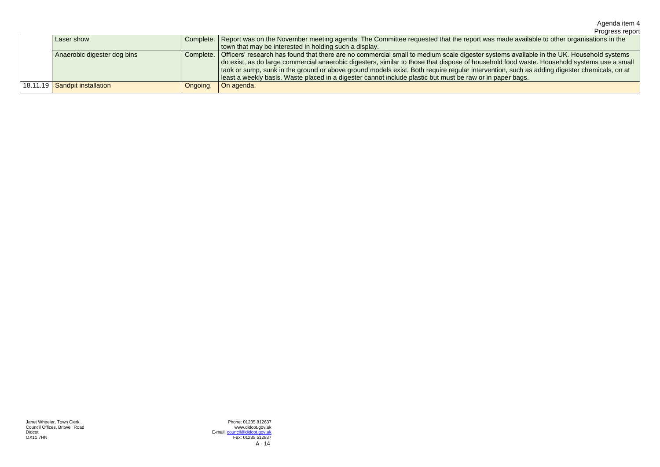## Agenda item 4

Progress report

|  | Laser show                    |                       | Complete.   Report was on the November meeting agenda. The Committee requested that the report was made available to other organisations in the     |
|--|-------------------------------|-----------------------|-----------------------------------------------------------------------------------------------------------------------------------------------------|
|  |                               |                       | town that may be interested in holding such a display.                                                                                              |
|  | Anaerobic digester dog bins   |                       | Complete.   Officers' research has found that there are no commercial small to medium scale digester systems available in the UK. Household systems |
|  |                               |                       | do exist, as do large commercial anaerobic digesters, similar to those that dispose of household food waste. Household systems use a small          |
|  |                               |                       | tank or sump, sunk in the ground or above ground models exist. Both require regular intervention, such as adding digester chemicals, on at          |
|  |                               |                       | least a weekly basis. Waste placed in a digester cannot include plastic but must be raw or in paper bags.                                           |
|  | 18.11.19 Sandpit installation | <sup>1</sup> Ongoing. | $\Box$ On agenda.                                                                                                                                   |
|  |                               |                       |                                                                                                                                                     |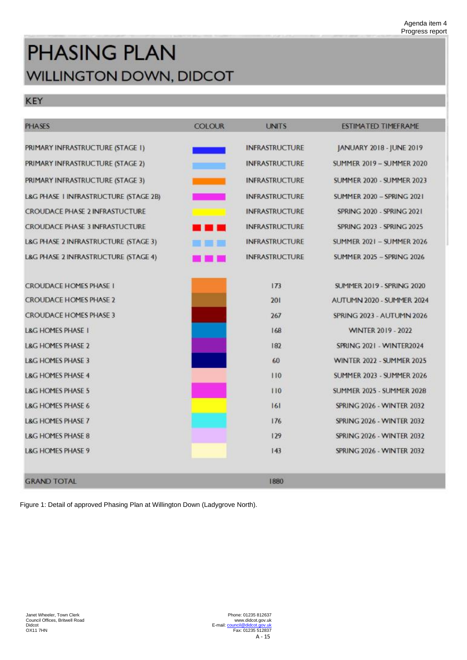# **PHASING PLAN WILLINGTON DOWN, DIDCOT**

# KEY

| <b>PHASES</b>                         | <b>COLOUR</b>             | <b>UNITS</b>          | ESTIMATED TIMEFRAME              |
|---------------------------------------|---------------------------|-----------------------|----------------------------------|
| PRIMARY INFRASTRUCTURE (STAGE 1)      |                           | <b>INFRASTRUCTURE</b> | JANUARY 2018 - JUNE 2019         |
| PRIMARY INFRASTRUCTURE (STAGE 2)      |                           | <b>INFRASTRUCTURE</b> | <b>SUMMER 2019 - SUMMER 2020</b> |
| PRIMARY INFRASTRUCTURE (STAGE 3)      |                           | <b>INFRASTRUCTURE</b> | <b>SUMMER 2020 - SUMMER 2023</b> |
| L&G PHASE I INFRASTRUCTURE (STAGE 2B) |                           | <b>INFRASTRUCTURE</b> | <b>SUMMER 2020 - SPRING 2021</b> |
| <b>CROUDACE PHASE 2 INFRASTUCTURE</b> |                           | <b>INFRASTRUCTURE</b> | <b>SPRING 2020 - SPRING 2021</b> |
| <b>CROUDACE PHASE 3 INFRASTUCTURE</b> | <b>The Contract State</b> | <b>INFRASTRUCTURE</b> | <b>SPRING 2023 - SPRING 2025</b> |
| L&G PHASE 2 INFRASTRUCTURE (STAGE 3)  | <b>PERSONAL PROPERTY</b>  | <b>INFRASTRUCTURE</b> | <b>SUMMER 2021 - SUMMER 2026</b> |
| L&G PHASE 2 INFRASTRUCTURE (STAGE 4)  | and a strong strong       | <b>INFRASTRUCTURE</b> | <b>SUMMER 2025 - SPRING 2026</b> |
| <b>CROUDACE HOMES PHASE I</b>         |                           | 173                   | <b>SUMMER 2019 - SPRING 2020</b> |
| <b>CROUDACE HOMES PHASE 2</b>         |                           | 201                   | AUTUMN 2020 - SUMMER 2024        |
| <b>CROUDACE HOMES PHASE 3</b>         |                           | 267                   | SPRING 2023 - AUTUMN 2026        |
| <b>L&amp;G HOMES PHASE I</b>          |                           | 168                   | <b>WINTER 2019 - 2022</b>        |
| <b>L&amp;G HOMES PHASE 2</b>          |                           | 182                   | SPRING 2021 - WINTER2024         |
| <b>L&amp;G HOMES PHASE 3</b>          |                           | 60                    | <b>WINTER 2022 - SUMMER 2025</b> |
| <b>L&amp;G HOMES PHASE 4</b>          |                           | 110                   | <b>SUMMER 2023 - SUMMER 2026</b> |
| <b>L&amp;G HOMES PHASE 5</b>          |                           | 110                   | <b>SUMMER 2025 - SUMMER 2028</b> |
| <b>L&amp;G HOMES PHASE 6</b>          |                           | 161                   | <b>SPRING 2026 - WINTER 2032</b> |
| <b>L&amp;G HOMES PHASE 7</b>          |                           | 176                   | <b>SPRING 2026 - WINTER 2032</b> |
| <b>L&amp;G HOMES PHASE 8</b>          |                           | 129                   | <b>SPRING 2026 - WINTER 2032</b> |
| <b>L&amp;G HOMES PHASE 9</b>          |                           | 143                   | <b>SPRING 2026 - WINTER 2032</b> |

**GRAND TOTAL** 

Janet Wheeler, Town Clerk Council Offices, Britwell Road Didcot OX11 7HN

Phone: 01235 812637 www.didcot.gov.uk E-mail[: council@didcot.gov.uk](mailto:council@didcot.gov.uk) Fax: 01235 512837 A - 15

Figure 1: Detail of approved Phasing Plan at Willington Down (Ladygrove North).